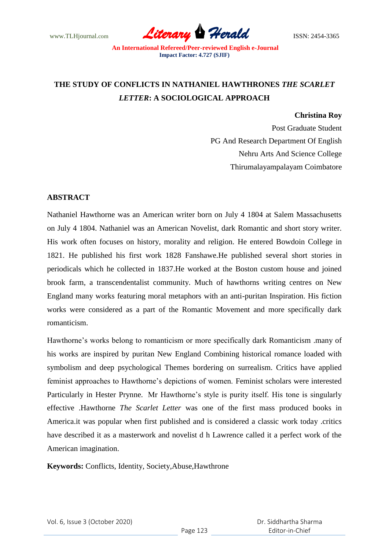www.TLHjournal.com *Literary Herald*ISSN: 2454-3365

# **THE STUDY OF CONFLICTS IN NATHANIEL HAWTHRONES** *THE SCARLET LETTER***: A SOCIOLOGICAL APPROACH**

## **Christina Roy**

Post Graduate Student PG And Research Department Of English Nehru Arts And Science College Thirumalayampalayam Coimbatore

# **ABSTRACT**

Nathaniel Hawthorne was an American writer born on July 4 1804 at Salem Massachusetts on July 4 1804. Nathaniel was an American Novelist, dark Romantic and short story writer. His work often focuses on history, morality and religion. He entered Bowdoin College in 1821. He published his first work 1828 Fanshawe.He published several short stories in periodicals which he collected in 1837.He worked at the Boston custom house and joined brook farm, a transcendentalist community. Much of hawthorns writing centres on New England many works featuring moral metaphors with an anti-puritan Inspiration. His fiction works were considered as a part of the Romantic Movement and more specifically dark romanticism.

Hawthorne's works belong to romanticism or more specifically dark Romanticism .many of his works are inspired by puritan New England Combining historical romance loaded with symbolism and deep psychological Themes bordering on surrealism. Critics have applied feminist approaches to Hawthorne's depictions of women. Feminist scholars were interested Particularly in Hester Prynne. Mr Hawthorne's style is purity itself. His tone is singularly effective .Hawthorne *The Scarlet Letter* was one of the first mass produced books in America.it was popular when first published and is considered a classic work today .critics have described it as a masterwork and novelist d h Lawrence called it a perfect work of the American imagination.

**Keywords:** Conflicts, Identity, Society,Abuse,Hawthrone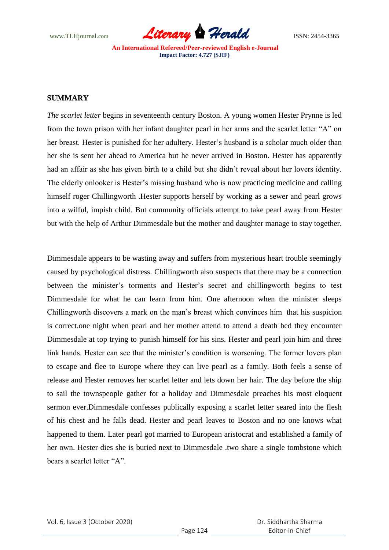www.TLHjournal.com *Literary Herald*ISSN: 2454-3365

# **SUMMARY**

*The scarlet letter* begins in seventeenth century Boston. A young women Hester Prynne is led from the town prison with her infant daughter pearl in her arms and the scarlet letter "A" on her breast. Hester is punished for her adultery. Hester's husband is a scholar much older than her she is sent her ahead to America but he never arrived in Boston. Hester has apparently had an affair as she has given birth to a child but she didn't reveal about her lovers identity. The elderly onlooker is Hester's missing husband who is now practicing medicine and calling himself roger Chillingworth .Hester supports herself by working as a sewer and pearl grows into a wilful, impish child. But community officials attempt to take pearl away from Hester but with the help of Arthur Dimmesdale but the mother and daughter manage to stay together.

Dimmesdale appears to be wasting away and suffers from mysterious heart trouble seemingly caused by psychological distress. Chillingworth also suspects that there may be a connection between the minister's torments and Hester's secret and chillingworth begins to test Dimmesdale for what he can learn from him. One afternoon when the minister sleeps Chillingworth discovers a mark on the man's breast which convinces him that his suspicion is correct.one night when pearl and her mother attend to attend a death bed they encounter Dimmesdale at top trying to punish himself for his sins. Hester and pearl join him and three link hands. Hester can see that the minister's condition is worsening. The former lovers plan to escape and flee to Europe where they can live pearl as a family. Both feels a sense of release and Hester removes her scarlet letter and lets down her hair. The day before the ship to sail the townspeople gather for a holiday and Dimmesdale preaches his most eloquent sermon ever.Dimmesdale confesses publically exposing a scarlet letter seared into the flesh of his chest and he falls dead. Hester and pearl leaves to Boston and no one knows what happened to them. Later pearl got married to European aristocrat and established a family of her own. Hester dies she is buried next to Dimmesdale .two share a single tombstone which bears a scarlet letter "A".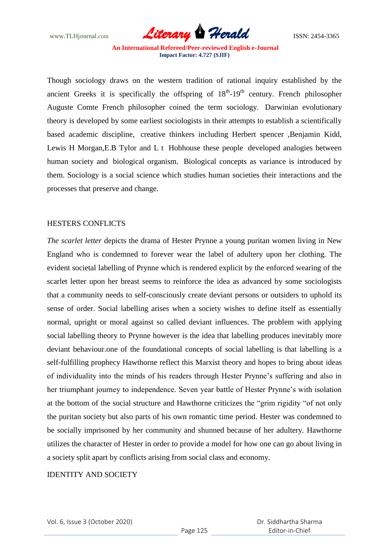www.TLHjournal.com *Literary Herald*ISSN: 2454-3365

Though sociology draws on the western tradition of rational inquiry established by the ancient Greeks it is specifically the offspring of  $18<sup>th</sup>$ -19<sup>th</sup> century. French philosopher Auguste Comte French philosopher coined the term sociology. Darwinian evolutionary theory is developed by some earliest sociologists in their attempts to establish a scientifically based academic discipline, creative thinkers including Herbert spencer ,Benjamin Kidd, Lewis H Morgan,E.B Tylor and L t Hobhouse these people developed analogies between human society and biological organism. Biological concepts as variance is introduced by them. Sociology is a social science which studies human societies their interactions and the processes that preserve and change.

#### HESTERS CONFLICTS

*The scarlet letter* depicts the drama of Hester Prynne a young puritan women living in New England who is condemned to forever wear the label of adultery upon her clothing. The evident societal labelling of Prynne which is rendered explicit by the enforced wearing of the scarlet letter upon her breast seems to reinforce the idea as advanced by some sociologists that a community needs to self-consciously create deviant persons or outsiders to uphold its sense of order. Social labelling arises when a society wishes to define itself as essentially normal, upright or moral against so called deviant influences. The problem with applying social labelling theory to Prynne however is the idea that labelling produces inevitably more deviant behaviour.one of the foundational concepts of social labelling is that labelling is a self-fulfilling prophecy Hawthorne reflect this Marxist theory and hopes to bring about ideas of individuality into the minds of his readers through Hester Prynne's suffering and also in her triumphant journey to independence. Seven year battle of Hester Prynne's with isolation at the bottom of the social structure and Hawthorne criticizes the "grim rigidity "of not only the puritan society but also parts of his own romantic time period. Hester was condemned to be socially imprisoned by her community and shunned because of her adultery. Hawthorne utilizes the character of Hester in order to provide a model for how one can go about living in a society split apart by conflicts arising from social class and economy.

#### IDENTITY AND SOCIETY